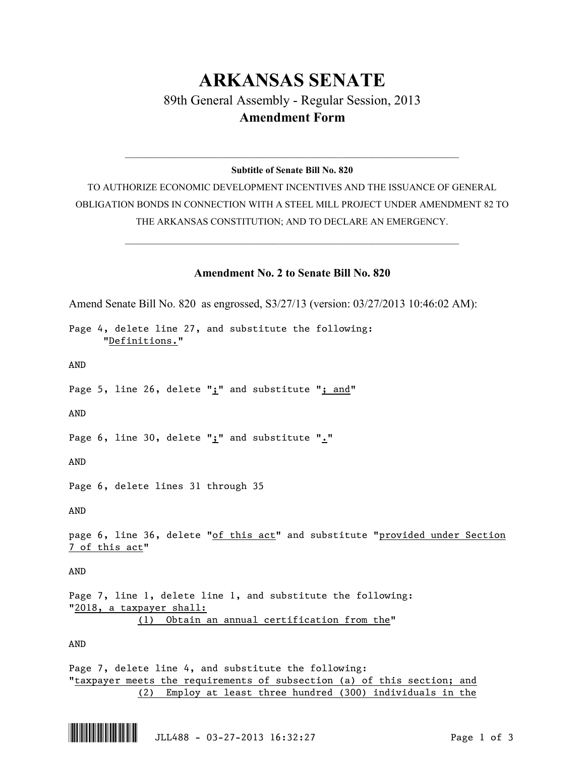## **ARKANSAS SENATE** 89th General Assembly - Regular Session, 2013 **Amendment Form**

## $\mathcal{L}_\mathcal{L} = \mathcal{L}_\mathcal{L} = \mathcal{L}_\mathcal{L} = \mathcal{L}_\mathcal{L} = \mathcal{L}_\mathcal{L} = \mathcal{L}_\mathcal{L} = \mathcal{L}_\mathcal{L} = \mathcal{L}_\mathcal{L} = \mathcal{L}_\mathcal{L} = \mathcal{L}_\mathcal{L} = \mathcal{L}_\mathcal{L} = \mathcal{L}_\mathcal{L} = \mathcal{L}_\mathcal{L} = \mathcal{L}_\mathcal{L} = \mathcal{L}_\mathcal{L} = \mathcal{L}_\mathcal{L} = \mathcal{L}_\mathcal{L}$ **Subtitle of Senate Bill No. 820**

TO AUTHORIZE ECONOMIC DEVELOPMENT INCENTIVES AND THE ISSUANCE OF GENERAL OBLIGATION BONDS IN CONNECTION WITH A STEEL MILL PROJECT UNDER AMENDMENT 82 TO THE ARKANSAS CONSTITUTION; AND TO DECLARE AN EMERGENCY.

 $\mathcal{L}_\mathcal{L} = \mathcal{L}_\mathcal{L} = \mathcal{L}_\mathcal{L} = \mathcal{L}_\mathcal{L} = \mathcal{L}_\mathcal{L} = \mathcal{L}_\mathcal{L} = \mathcal{L}_\mathcal{L} = \mathcal{L}_\mathcal{L} = \mathcal{L}_\mathcal{L} = \mathcal{L}_\mathcal{L} = \mathcal{L}_\mathcal{L} = \mathcal{L}_\mathcal{L} = \mathcal{L}_\mathcal{L} = \mathcal{L}_\mathcal{L} = \mathcal{L}_\mathcal{L} = \mathcal{L}_\mathcal{L} = \mathcal{L}_\mathcal{L}$ 

## **Amendment No. 2 to Senate Bill No. 820**

Amend Senate Bill No. 820 as engrossed, S3/27/13 (version: 03/27/2013 10:46:02 AM): Page 4, delete line 27, and substitute the following: "Definitions." AND Page 5, line 26, delete " $\mathbf{i}$ " and substitute "; and" AND Page 6, line 30, delete ";" and substitute "." AND Page 6, delete lines 31 through 35 AND page 6, line 36, delete "of this act" and substitute "provided under Section 7 of this act" AND Page 7, line 1, delete line 1, and substitute the following: "2018, a taxpayer shall: (1) Obtain an annual certification from the" AND Page 7, delete line 4, and substitute the following: "taxpayer meets the requirements of subsection (a) of this section; and

(2) Employ at least three hundred (300) individuals in the

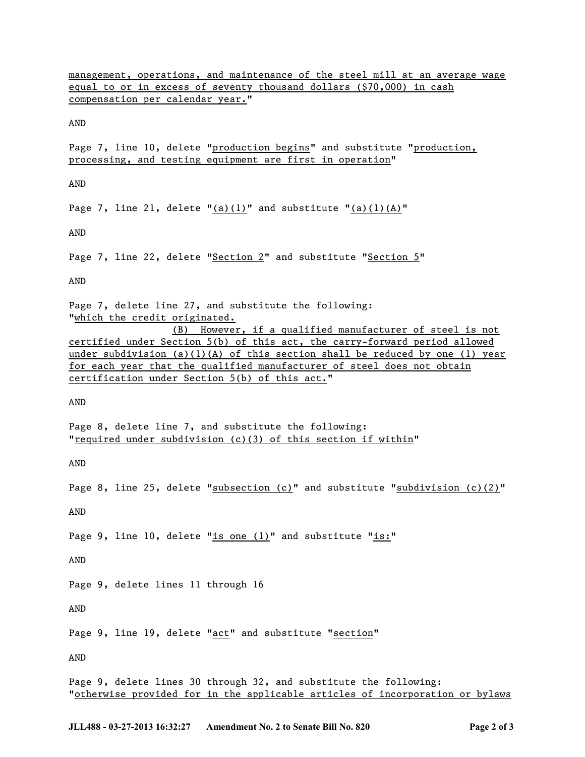management, operations, and maintenance of the steel mill at an average wage equal to or in excess of seventy thousand dollars (\$70,000) in cash compensation per calendar year."

AND

Page 7, line 10, delete "production begins" and substitute "production, processing, and testing equipment are first in operation"

AND

Page 7, line 21, delete " $(a)(1)$ " and substitute " $(a)(1)(A)$ "

AND

Page 7, line 22, delete "Section 2" and substitute "Section 5"

AND

Page 7, delete line 27, and substitute the following: "which the credit originated.

(B) However, if a qualified manufacturer of steel is not certified under Section 5(b) of this act, the carry-forward period allowed under subdivision (a)(1)(A) of this section shall be reduced by one (1) year for each year that the qualified manufacturer of steel does not obtain certification under Section 5(b) of this act."

AND

Page 8, delete line 7, and substitute the following: "required under subdivision (c)(3) of this section if within"

AND

Page 8, line 25, delete "subsection (c)" and substitute "subdivision (c)(2)"

AND

Page 9, line 10, delete "is one  $(1)$ " and substitute "is:"

AND

Page 9, delete lines 11 through 16

AND

Page 9, line 19, delete "act" and substitute "section"

AND

Page 9, delete lines 30 through 32, and substitute the following: "otherwise provided for in the applicable articles of incorporation or bylaws